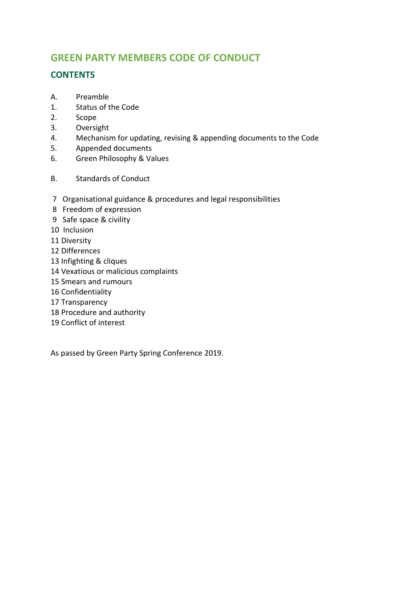# **GREEN PARTY MEMBERS CODE OF CONDUCT**

## **CONTENTS**

- A. Preamble
- 1. Status of the Code
- 2. Scope
- 3. Oversight
- 4. Mechanism for updating, revising & appending documents to the Code
- 5. Appended documents
- 6. Green Philosophy & Values
- B. Standards of Conduct
- 7 Organisational guidance & procedures and legal responsibilities
- 8 Freedom of expression
- 9 Safe space & civility
- 10 Inclusion
- 11 Diversity
- 12 Differences
- 13 Infighting & cliques
- 14 Vexatious or malicious complaints
- 15 Smears and rumours
- 16 Confidentiality
- 17 Transparency
- 18 Procedure and authority
- 19 Conflict of interest

As passed by Green Party Spring Conference 2019.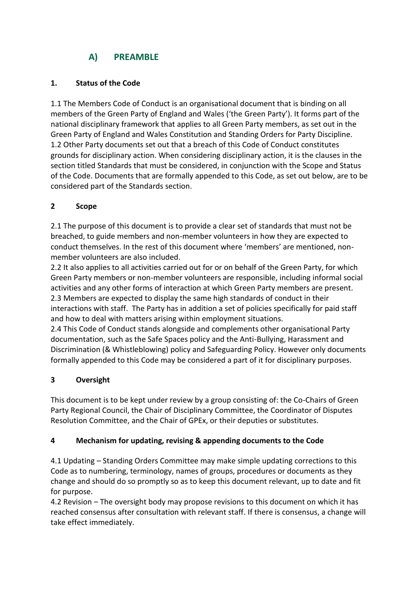# **A) PREAMBLE**

### **1. Status of the Code**

1.1 The Members Code of Conduct is an organisational document that is binding on all members of the Green Party of England and Wales ('the Green Party'). It forms part of the national disciplinary framework that applies to all Green Party members, as set out in the Green Party of England and Wales Constitution and Standing Orders for Party Discipline. 1.2 Other Party documents set out that a breach of this Code of Conduct constitutes grounds for disciplinary action. When considering disciplinary action, it is the clauses in the section titled Standards that must be considered, in conjunction with the Scope and Status of the Code. Documents that are formally appended to this Code, as set out below, are to be considered part of the Standards section.

### **2 Scope**

2.1 The purpose of this document is to provide a clear set of standards that must not be breached, to guide members and non-member volunteers in how they are expected to conduct themselves. In the rest of this document where 'members' are mentioned, nonmember volunteers are also included.

2.2 It also applies to all activities carried out for or on behalf of the Green Party, for which Green Party members or non-member volunteers are responsible, including informal social activities and any other forms of interaction at which Green Party members are present. 2.3 Members are expected to display the same high standards of conduct in their interactions with staff. The Party has in addition a set of policies specifically for paid staff and how to deal with matters arising within employment situations.

2.4 This Code of Conduct stands alongside and complements other organisational Party documentation, such as the Safe Spaces policy and the Anti-Bullying, Harassment and Discrimination (& Whistleblowing) policy and Safeguarding Policy. However only documents formally appended to this Code may be considered a part of it for disciplinary purposes.

## **3 Oversight**

This document is to be kept under review by a group consisting of: the Co-Chairs of Green Party Regional Council, the Chair of Disciplinary Committee, the Coordinator of Disputes Resolution Committee, and the Chair of GPEx, or their deputies or substitutes.

## **4 Mechanism for updating, revising & appending documents to the Code**

4.1 Updating – Standing Orders Committee may make simple updating corrections to this Code as to numbering, terminology, names of groups, procedures or documents as they change and should do so promptly so as to keep this document relevant, up to date and fit for purpose.

4.2 Revision – The oversight body may propose revisions to this document on which it has reached consensus after consultation with relevant staff. If there is consensus, a change will take effect immediately.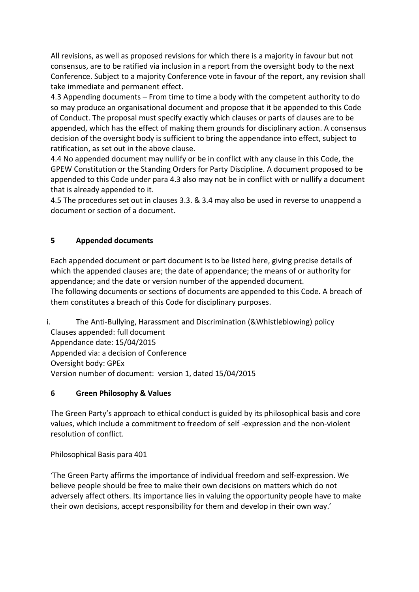All revisions, as well as proposed revisions for which there is a majority in favour but not consensus, are to be ratified via inclusion in a report from the oversight body to the next Conference. Subject to a majority Conference vote in favour of the report, any revision shall take immediate and permanent effect.

4.3 Appending documents – From time to time a body with the competent authority to do so may produce an organisational document and propose that it be appended to this Code of Conduct. The proposal must specify exactly which clauses or parts of clauses are to be appended, which has the effect of making them grounds for disciplinary action. A consensus decision of the oversight body is sufficient to bring the appendance into effect, subject to ratification, as set out in the above clause.

4.4 No appended document may nullify or be in conflict with any clause in this Code, the GPEW Constitution or the Standing Orders for Party Discipline. A document proposed to be appended to this Code under para 4.3 also may not be in conflict with or nullify a document that is already appended to it.

4.5 The procedures set out in clauses 3.3. & 3.4 may also be used in reverse to unappend a document or section of a document.

### **5 Appended documents**

Each appended document or part document is to be listed here, giving precise details of which the appended clauses are; the date of appendance; the means of or authority for appendance; and the date or version number of the appended document. The following documents or sections of documents are appended to this Code. A breach of them constitutes a breach of this Code for disciplinary purposes.

i. The Anti-Bullying, Harassment and Discrimination (&Whistleblowing) policy Clauses appended: full document Appendance date: 15/04/2015 Appended via: a decision of Conference Oversight body: GPEx Version number of document: version 1, dated 15/04/2015

### **6 Green Philosophy & Values**

The Green Party's approach to ethical conduct is guided by its philosophical basis and core values, which include a commitment to freedom of self -expression and the non-violent resolution of conflict.

Philosophical Basis para 401

'The Green Party affirms the importance of individual freedom and self-expression. We believe people should be free to make their own decisions on matters which do not adversely affect others. Its importance lies in valuing the opportunity people have to make their own decisions, accept responsibility for them and develop in their own way.'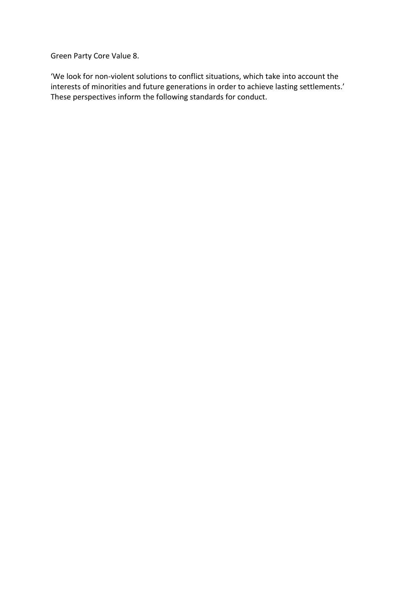Green Party Core Value 8.

'We look for non-violent solutions to conflict situations, which take into account the interests of minorities and future generations in order to achieve lasting settlements.' These perspectives inform the following standards for conduct.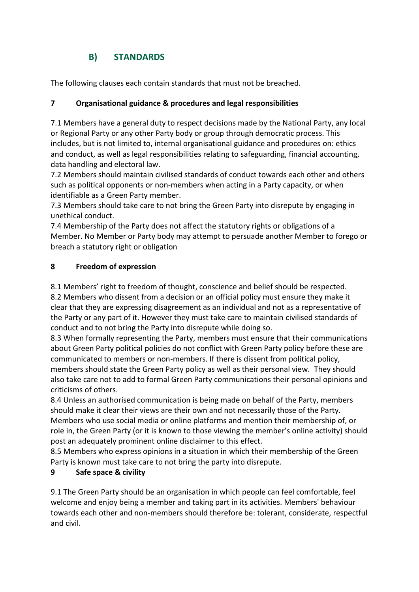# **B) STANDARDS**

The following clauses each contain standards that must not be breached.

## **7 Organisational guidance & procedures and legal responsibilities**

7.1 Members have a general duty to respect decisions made by the National Party, any local or Regional Party or any other Party body or group through democratic process. This includes, but is not limited to, internal organisational guidance and procedures on: ethics and conduct, as well as legal responsibilities relating to safeguarding, financial accounting, data handling and electoral law.

7.2 Members should maintain civilised standards of conduct towards each other and others such as political opponents or non-members when acting in a Party capacity, or when identifiable as a Green Party member.

7.3 Members should take care to not bring the Green Party into disrepute by engaging in unethical conduct.

7.4 Membership of the Party does not affect the statutory rights or obligations of a Member. No Member or Party body may attempt to persuade another Member to forego or breach a statutory right or obligation

## **8 Freedom of expression**

8.1 Members' right to freedom of thought, conscience and belief should be respected.

8.2 Members who dissent from a decision or an official policy must ensure they make it clear that they are expressing disagreement as an individual and not as a representative of the Party or any part of it. However they must take care to maintain civilised standards of conduct and to not bring the Party into disrepute while doing so.

8.3 When formally representing the Party, members must ensure that their communications about Green Party political policies do not conflict with Green Party policy before these are communicated to members or non-members. If there is dissent from political policy, members should state the Green Party policy as well as their personal view. They should also take care not to add to formal Green Party communications their personal opinions and criticisms of others.

8.4 Unless an authorised communication is being made on behalf of the Party, members should make it clear their views are their own and not necessarily those of the Party. Members who use social media or online platforms and mention their membership of, or role in, the Green Party (or it is known to those viewing the member's online activity) should post an adequately prominent online disclaimer to this effect.

8.5 Members who express opinions in a situation in which their membership of the Green Party is known must take care to not bring the party into disrepute.

## **9 Safe space & civility**

9.1 The Green Party should be an organisation in which people can feel comfortable, feel welcome and enjoy being a member and taking part in its activities. Members' behaviour towards each other and non-members should therefore be: tolerant, considerate, respectful and civil.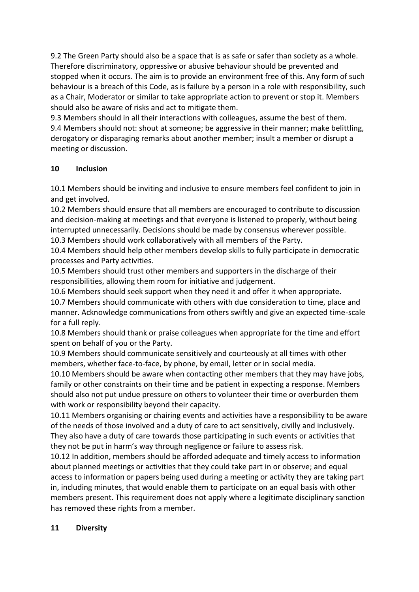9.2 The Green Party should also be a space that is as safe or safer than society as a whole. Therefore discriminatory, oppressive or abusive behaviour should be prevented and stopped when it occurs. The aim is to provide an environment free of this. Any form of such behaviour is a breach of this Code, as is failure by a person in a role with responsibility, such as a Chair, Moderator or similar to take appropriate action to prevent or stop it. Members should also be aware of risks and act to mitigate them.

9.3 Members should in all their interactions with colleagues, assume the best of them. 9.4 Members should not: shout at someone; be aggressive in their manner; make belittling, derogatory or disparaging remarks about another member; insult a member or disrupt a meeting or discussion.

### **10 Inclusion**

10.1 Members should be inviting and inclusive to ensure members feel confident to join in and get involved.

10.2 Members should ensure that all members are encouraged to contribute to discussion and decision-making at meetings and that everyone is listened to properly, without being interrupted unnecessarily. Decisions should be made by consensus wherever possible.

10.3 Members should work collaboratively with all members of the Party.

10.4 Members should help other members develop skills to fully participate in democratic processes and Party activities.

10.5 Members should trust other members and supporters in the discharge of their responsibilities, allowing them room for initiative and judgement.

10.6 Members should seek support when they need it and offer it when appropriate.

10.7 Members should communicate with others with due consideration to time, place and manner. Acknowledge communications from others swiftly and give an expected time-scale for a full reply.

10.8 Members should thank or praise colleagues when appropriate for the time and effort spent on behalf of you or the Party.

10.9 Members should communicate sensitively and courteously at all times with other members, whether face-to-face, by phone, by email, letter or in social media.

10.10 Members should be aware when contacting other members that they may have jobs, family or other constraints on their time and be patient in expecting a response. Members should also not put undue pressure on others to volunteer their time or overburden them with work or responsibility beyond their capacity.

10.11 Members organising or chairing events and activities have a responsibility to be aware of the needs of those involved and a duty of care to act sensitively, civilly and inclusively. They also have a duty of care towards those participating in such events or activities that they not be put in harm's way through negligence or failure to assess risk.

10.12 In addition, members should be afforded adequate and timely access to information about planned meetings or activities that they could take part in or observe; and equal access to information or papers being used during a meeting or activity they are taking part in, including minutes, that would enable them to participate on an equal basis with other members present. This requirement does not apply where a legitimate disciplinary sanction has removed these rights from a member.

### **11 Diversity**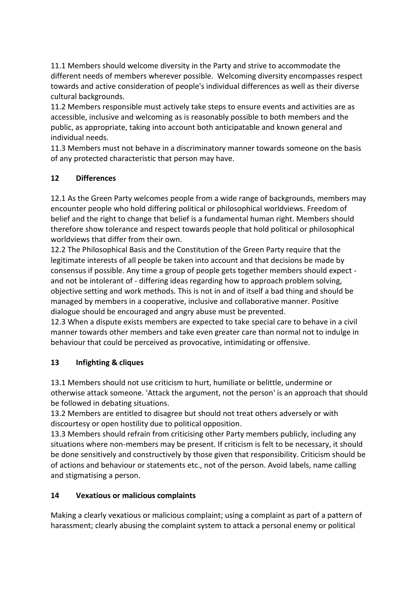11.1 Members should welcome diversity in the Party and strive to accommodate the different needs of members wherever possible. Welcoming diversity encompasses respect towards and active consideration of people's individual differences as well as their diverse cultural backgrounds.

11.2 Members responsible must actively take steps to ensure events and activities are as accessible, inclusive and welcoming as is reasonably possible to both members and the public, as appropriate, taking into account both anticipatable and known general and individual needs.

11.3 Members must not behave in a discriminatory manner towards someone on the basis of any protected characteristic that person may have.

### **12 Differences**

12.1 As the Green Party welcomes people from a wide range of backgrounds, members may encounter people who hold differing political or philosophical worldviews. Freedom of belief and the right to change that belief is a fundamental human right. Members should therefore show tolerance and respect towards people that hold political or philosophical worldviews that differ from their own.

12.2 The Philosophical Basis and the Constitution of the Green Party require that the legitimate interests of all people be taken into account and that decisions be made by consensus if possible. Any time a group of people gets together members should expect and not be intolerant of - differing ideas regarding how to approach problem solving, objective setting and work methods. This is not in and of itself a bad thing and should be managed by members in a cooperative, inclusive and collaborative manner. Positive dialogue should be encouraged and angry abuse must be prevented.

12.3 When a dispute exists members are expected to take special care to behave in a civil manner towards other members and take even greater care than normal not to indulge in behaviour that could be perceived as provocative, intimidating or offensive.

## **13 Infighting & cliques**

13.1 Members should not use criticism to hurt, humiliate or belittle, undermine or otherwise attack someone. 'Attack the argument, not the person' is an approach that should be followed in debating situations.

13.2 Members are entitled to disagree but should not treat others adversely or with discourtesy or open hostility due to political opposition.

13.3 Members should refrain from criticising other Party members publicly, including any situations where non-members may be present. If criticism is felt to be necessary, it should be done sensitively and constructively by those given that responsibility. Criticism should be of actions and behaviour or statements etc., not of the person. Avoid labels, name calling and stigmatising a person.

## **14 Vexatious or malicious complaints**

Making a clearly vexatious or malicious complaint; using a complaint as part of a pattern of harassment; clearly abusing the complaint system to attack a personal enemy or political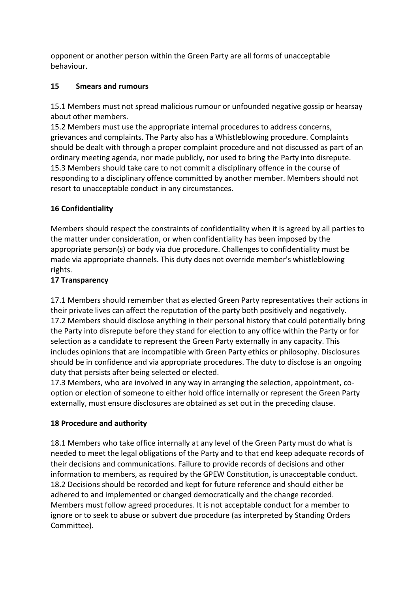opponent or another person within the Green Party are all forms of unacceptable behaviour.

### **15 Smears and rumours**

15.1 Members must not spread malicious rumour or unfounded negative gossip or hearsay about other members.

15.2 Members must use the appropriate internal procedures to address concerns, grievances and complaints. The Party also has a Whistleblowing procedure. Complaints should be dealt with through a proper complaint procedure and not discussed as part of an ordinary meeting agenda, nor made publicly, nor used to bring the Party into disrepute. 15.3 Members should take care to not commit a disciplinary offence in the course of responding to a disciplinary offence committed by another member. Members should not resort to unacceptable conduct in any circumstances.

## **16 Confidentiality**

Members should respect the constraints of confidentiality when it is agreed by all parties to the matter under consideration, or when confidentiality has been imposed by the appropriate person(s) or body via due procedure. Challenges to confidentiality must be made via appropriate channels. This duty does not override member's whistleblowing rights.

### **17 Transparency**

17.1 Members should remember that as elected Green Party representatives their actions in their private lives can affect the reputation of the party both positively and negatively. 17.2 Members should disclose anything in their personal history that could potentially bring the Party into disrepute before they stand for election to any office within the Party or for selection as a candidate to represent the Green Party externally in any capacity. This includes opinions that are incompatible with Green Party ethics or philosophy. Disclosures should be in confidence and via appropriate procedures. The duty to disclose is an ongoing duty that persists after being selected or elected.

17.3 Members, who are involved in any way in arranging the selection, appointment, cooption or election of someone to either hold office internally or represent the Green Party externally, must ensure disclosures are obtained as set out in the preceding clause.

### **18 Procedure and authority**

18.1 Members who take office internally at any level of the Green Party must do what is needed to meet the legal obligations of the Party and to that end keep adequate records of their decisions and communications. Failure to provide records of decisions and other information to members, as required by the GPEW Constitution, is unacceptable conduct. 18.2 Decisions should be recorded and kept for future reference and should either be adhered to and implemented or changed democratically and the change recorded. Members must follow agreed procedures. It is not acceptable conduct for a member to ignore or to seek to abuse or subvert due procedure (as interpreted by Standing Orders Committee).